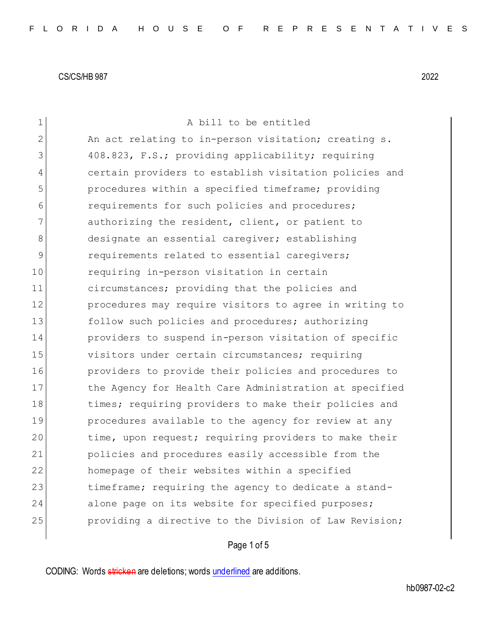| 1            | A bill to be entitled                                  |
|--------------|--------------------------------------------------------|
| $\mathbf{2}$ | An act relating to in-person visitation; creating s.   |
| 3            | 408.823, F.S.; providing applicability; requiring      |
| 4            | certain providers to establish visitation policies and |
| 5            | procedures within a specified timeframe; providing     |
| 6            | requirements for such policies and procedures;         |
| 7            | authorizing the resident, client, or patient to        |
| 8            | designate an essential caregiver; establishing         |
| 9            | requirements related to essential caregivers;          |
| 10           | requiring in-person visitation in certain              |
| 11           | circumstances; providing that the policies and         |
| 12           | procedures may require visitors to agree in writing to |
| 13           | follow such policies and procedures; authorizing       |
| 14           | providers to suspend in-person visitation of specific  |
| 15           | visitors under certain circumstances; requiring        |
| 16           | providers to provide their policies and procedures to  |
| 17           | the Agency for Health Care Administration at specified |
| 18           | times; requiring providers to make their policies and  |
| 19           | procedures available to the agency for review at any   |
| 20           | time, upon request; requiring providers to make their  |
| 21           | policies and procedures easily accessible from the     |
| 22           | homepage of their websites within a specified          |
| 23           | timeframe; requiring the agency to dedicate a stand-   |
| 24           | alone page on its website for specified purposes;      |
| 25           | providing a directive to the Division of Law Revision; |
|              |                                                        |

# Page 1 of 5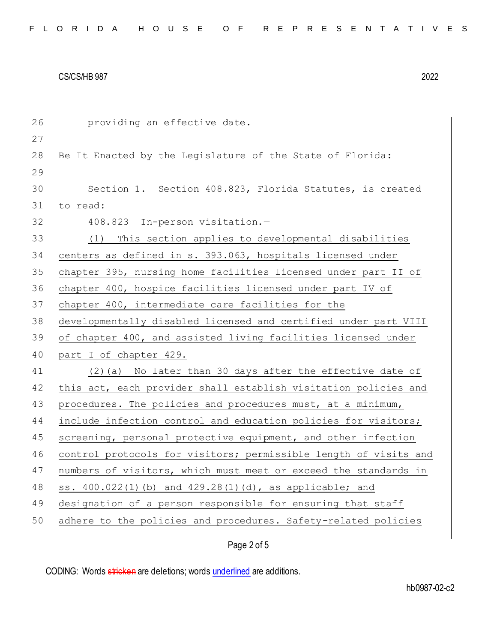| 26 | providing an effective date.                                     |
|----|------------------------------------------------------------------|
| 27 |                                                                  |
| 28 | Be It Enacted by the Legislature of the State of Florida:        |
| 29 |                                                                  |
| 30 | Section 1. Section 408.823, Florida Statutes, is created         |
| 31 | to read:                                                         |
| 32 | 408.823 In-person visitation.-                                   |
| 33 | This section applies to developmental disabilities<br>(1)        |
| 34 | centers as defined in s. 393.063, hospitals licensed under       |
| 35 | chapter 395, nursing home facilities licensed under part II of   |
| 36 | chapter 400, hospice facilities licensed under part IV of        |
| 37 | chapter 400, intermediate care facilities for the                |
| 38 | developmentally disabled licensed and certified under part VIII  |
| 39 | of chapter 400, and assisted living facilities licensed under    |
| 40 | part I of chapter 429.                                           |
| 41 | (2) (a) No later than 30 days after the effective date of        |
| 42 | this act, each provider shall establish visitation policies and  |
| 43 | procedures. The policies and procedures must, at a minimum,      |
| 44 | include infection control and education policies for visitors;   |
| 45 | screening, personal protective equipment, and other infection    |
| 46 | control protocols for visitors; permissible length of visits and |
| 47 | numbers of visitors, which must meet or exceed the standards in  |
| 48 | ss. 400.022(1)(b) and 429.28(1)(d), as applicable; and           |
| 49 | designation of a person responsible for ensuring that staff      |
|    |                                                                  |
| 50 | adhere to the policies and procedures. Safety-related policies   |

# Page 2 of 5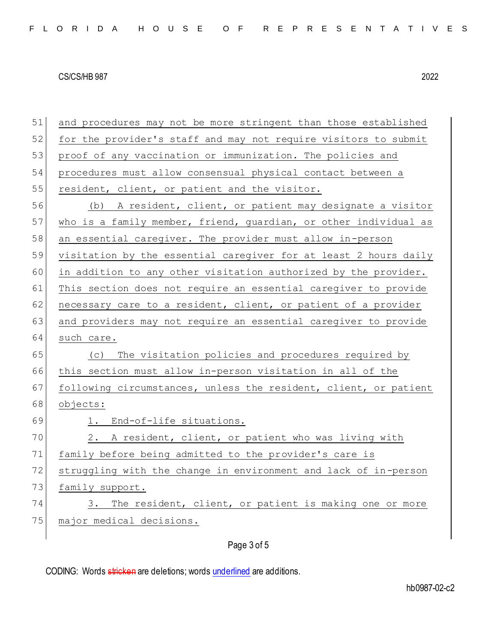| 51 | and procedures may not be more stringent than those established  |
|----|------------------------------------------------------------------|
| 52 | for the provider's staff and may not require visitors to submit  |
| 53 | proof of any vaccination or immunization. The policies and       |
| 54 | procedures must allow consensual physical contact between a      |
| 55 | resident, client, or patient and the visitor.                    |
| 56 | (b) A resident, client, or patient may designate a visitor       |
| 57 | who is a family member, friend, guardian, or other individual as |
| 58 | an essential caregiver. The provider must allow in-person        |
| 59 | visitation by the essential caregiver for at least 2 hours daily |
| 60 | in addition to any other visitation authorized by the provider.  |
| 61 | This section does not require an essential caregiver to provide  |
| 62 | necessary care to a resident, client, or patient of a provider   |
| 63 | and providers may not require an essential caregiver to provide  |
| 64 | such care.                                                       |
| 65 | The visitation policies and procedures required by<br>(C)        |
| 66 | this section must allow in-person visitation in all of the       |
| 67 | following circumstances, unless the resident, client, or patient |
| 68 | objects:                                                         |
| 69 | 1. End-of-life situations.                                       |
| 70 | 2.<br>A resident, client, or patient who was living with         |
| 71 | family before being admitted to the provider's care is           |
| 72 | struggling with the change in environment and lack of in-person  |
| 73 | family support.                                                  |
| 74 | The resident, client, or patient is making one or more<br>3.     |
| 75 | major medical decisions.                                         |
|    |                                                                  |

# Page 3 of 5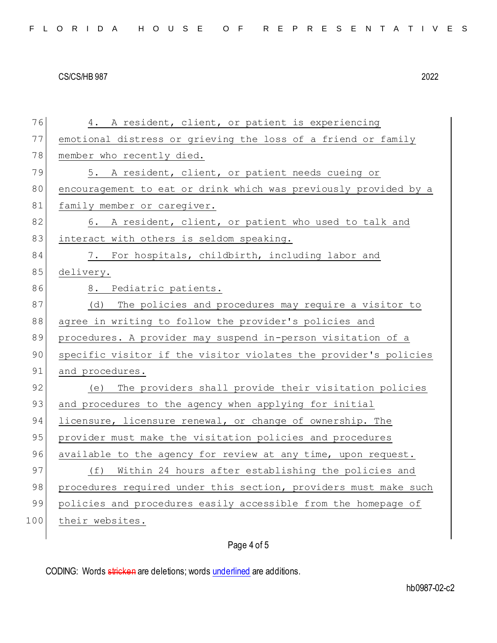| 76  | 4. A resident, client, or patient is experiencing                |
|-----|------------------------------------------------------------------|
| 77  | emotional distress or grieving the loss of a friend or family    |
| 78  | member who recently died.                                        |
| 79  | 5. A resident, client, or patient needs cueing or                |
| 80  | encouragement to eat or drink which was previously provided by a |
| 81  | family member or caregiver.                                      |
| 82  | 6. A resident, client, or patient who used to talk and           |
| 83  | interact with others is seldom speaking.                         |
| 84  | 7. For hospitals, childbirth, including labor and                |
| 85  | delivery.                                                        |
| 86  | 8. Pediatric patients.                                           |
| 87  | The policies and procedures may require a visitor to<br>(d)      |
| 88  | agree in writing to follow the provider's policies and           |
| 89  | procedures. A provider may suspend in-person visitation of a     |
| 90  | specific visitor if the visitor violates the provider's policies |
| 91  | and procedures.                                                  |
| 92  | The providers shall provide their visitation policies<br>(e)     |
| 93  | and procedures to the agency when applying for initial           |
| 94  | licensure, licensure renewal, or change of ownership. The        |
| 95  | provider must make the visitation policies and procedures        |
| 96  | available to the agency for review at any time, upon request.    |
| 97  | (f) Within 24 hours after establishing the policies and          |
| 98  | procedures required under this section, providers must make such |
| 99  | policies and procedures easily accessible from the homepage of   |
| 100 | their websites.                                                  |
|     |                                                                  |

# Page 4 of 5